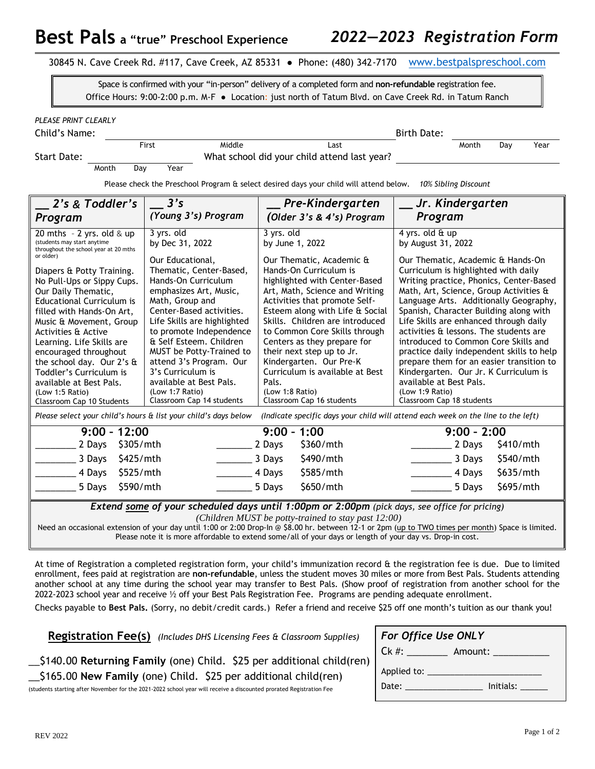| 30845 N. Cave Creek Rd. #117, Cave Creek, AZ 85331 · Phone: (480) 342-7170 www.bestpalspreschool.com |  |  |
|------------------------------------------------------------------------------------------------------|--|--|
|------------------------------------------------------------------------------------------------------|--|--|

Space is confirmed with your "in-person" delivery of a completed form and **non-refundable** registration fee. Office Hours: 9:00-2:00 p.m. M-F ● Location: just north of Tatum Blvd. on Cave Creek Rd. in Tatum Ranch

Child's Name: Birth Date:

First Middle Last Month Day Year

Month Day Year

Start Date: What school did your child attend last year?

Please check the Preschool Program & select desired days your child will attend below. *10% Sibling Discount*

| 2's & Toddler's                                                                                                                                             | 3's                           | Pre-Kindergarten                | Jr. Kindergarten                          |  |
|-------------------------------------------------------------------------------------------------------------------------------------------------------------|-------------------------------|---------------------------------|-------------------------------------------|--|
| Program                                                                                                                                                     | (Young 3's) Program           | (Older 3's & 4's) Program       | Program                                   |  |
| 20 mths $-2$ yrs. old & up<br>(students may start anytime<br>throughout the school year at 20 mths                                                          | 3 yrs. old<br>by Dec 31, 2022 | 3 yrs. old<br>by June 1, 2022   | 4 yrs. old & up<br>by August 31, 2022     |  |
| or older)                                                                                                                                                   | Our Educational,              | Our Thematic, Academic &        | Our Thematic, Academic & Hands-On         |  |
| Diapers & Potty Training.                                                                                                                                   | Thematic, Center-Based,       | Hands-On Curriculum is          | Curriculum is highlighted with daily      |  |
| No Pull-Ups or Sippy Cups.                                                                                                                                  | Hands-On Curriculum           | highlighted with Center-Based   | Writing practice, Phonics, Center-Based   |  |
| Our Daily Thematic,                                                                                                                                         | emphasizes Art, Music,        | Art, Math, Science and Writing  | Math, Art, Science, Group Activities &    |  |
| <b>Educational Curriculum is</b>                                                                                                                            | Math, Group and               | Activities that promote Self-   | Language Arts. Additionally Geography,    |  |
| filled with Hands-On Art,                                                                                                                                   | Center-Based activities.      | Esteem along with Life & Social | Spanish, Character Building along with    |  |
| Music & Movement, Group                                                                                                                                     | Life Skills are highlighted   | Skills. Children are introduced | Life Skills are enhanced through daily    |  |
| Activities & Active                                                                                                                                         | to promote Independence       | to Common Core Skills through   | activities & lessons. The students are    |  |
| Learning. Life Skills are                                                                                                                                   | & Self Esteem. Children       | Centers as they prepare for     | introduced to Common Core Skills and      |  |
| encouraged throughout                                                                                                                                       | MUST be Potty-Trained to      | their next step up to Jr.       | practice daily independent skills to help |  |
| the school day. Our 2's &                                                                                                                                   | attend 3's Program. Our       | Kindergarten. Our Pre-K         | prepare them for an easier transition to  |  |
| Toddler's Curriculum is                                                                                                                                     | 3's Curriculum is             | Curriculum is available at Best | Kindergarten. Our Jr. K Curriculum is     |  |
| available at Best Pals.                                                                                                                                     | available at Best Pals.       | Pals.                           | available at Best Pals.                   |  |
| (Low 1:5 Ratio)                                                                                                                                             | (Low 1:7 Ratio)               | (Low 1:8 Ratio)                 | (Low 1:9 Ratio)                           |  |
| Classroom Cap 10 Students                                                                                                                                   | Classroom Cap 14 students     | Classroom Cap 16 students       | Classroom Cap 18 students                 |  |
| Please select your child's hours & list your child's days below<br>(Indicate specific days your child will attend each week on the line to the left)        |                               |                                 |                                           |  |
| $9:00 - 12:00$                                                                                                                                              |                               | $9:00 - 1:00$                   | $9:00 - 2:00$                             |  |
| \$305/mth                                                                                                                                                   |                               | \$360/mth                       | \$410/mth                                 |  |
| 2 Days                                                                                                                                                      |                               | 2 Days                          | 2 Days                                    |  |
| 3 Days                                                                                                                                                      |                               | \$490/mth                       | \$540/mth                                 |  |
| \$425/mth                                                                                                                                                   |                               | 3 Days                          | 3 Days                                    |  |
| 4 Days                                                                                                                                                      |                               | 4 Days                          | \$635/mth                                 |  |
| \$525/mth                                                                                                                                                   |                               | \$585/mth                       | 4 Days                                    |  |
| \$590/mth                                                                                                                                                   |                               | \$650/mth                       | \$695/mth                                 |  |
| 5 Days                                                                                                                                                      |                               | 5 Days                          | 5 Days                                    |  |
| <b>Extend some of your scheduled days until 1:00pm or 2:00pm</b> (pick days, see office for pricing)<br>(Children MUST be potty-trained to stay past 12:00) |                               |                                 |                                           |  |

Need an occasional extension of your day until 1:00 or 2:00 Drop-In @ \$8.00 hr. between 12-1 or 2pm (up to TWO times per month) Space is limited. Please note it is more affordable to extend some/all of your days or length of your day vs. Drop-in cost.

At time of Registration a completed registration form, your child's immunization record & the registration fee is due. Due to limited enrollment, fees paid at registration are **non-refundable**, unless the student moves 30 miles or more from Best Pals. Students attending another school at any time during the school year may transfer to Best Pals. (Show proof of registration from another school for the 2022-2023 school year and receive ½ off your Best Pals Registration Fee. Programs are pending adequate enrollment.

Checks payable to **Best Pals.** (Sorry, no debit/credit cards.) Refer a friend and receive \$25 off one month's tuition as our thank you!

**Registration Fee(s)** *(Includes DHS Licensing Fees & Classroom Supplies)*

\_\_\$140.00 **Returning Family** (one) Child. \$25 per additional child(ren) \_\_\$165.00 **New Family** (one) Child. \$25 per additional child(ren)

(students starting after November for the 2021-2022 school year will receive a discounted prorated Registration Fee

| For Office Use ONLY                                                                                                                                                                                                            |                    |
|--------------------------------------------------------------------------------------------------------------------------------------------------------------------------------------------------------------------------------|--------------------|
| $Ck \#:$                                                                                                                                                                                                                       | Amount:            |
|                                                                                                                                                                                                                                |                    |
| Date: the contract of the contract of the contract of the contract of the contract of the contract of the contract of the contract of the contract of the contract of the contract of the contract of the contract of the cont | Initials: Initials |